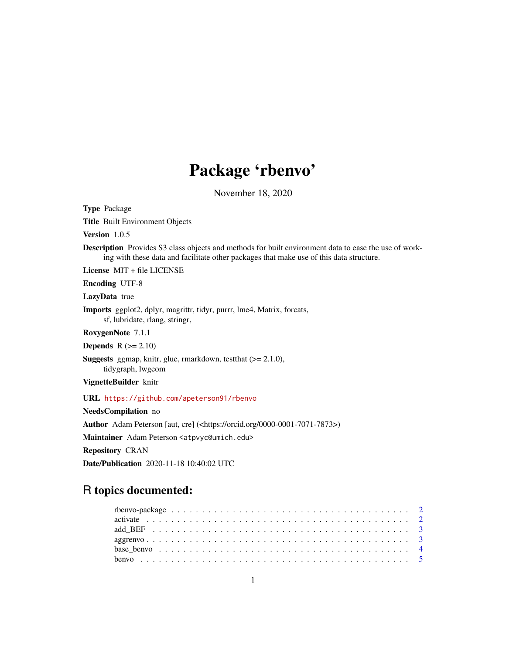# Package 'rbenvo'

November 18, 2020

Title Built Environment Objects Version 1.0.5 Description Provides S3 class objects and methods for built environment data to ease the use of working with these data and facilitate other packages that make use of this data structure. License MIT + file LICENSE Encoding UTF-8 LazyData true Imports ggplot2, dplyr, magrittr, tidyr, purrr, lme4, Matrix, forcats, sf, lubridate, rlang, stringr, RoxygenNote 7.1.1 Depends  $R (= 2.10)$ **Suggests** ggmap, knitr, glue, rmarkdown, test that  $(>= 2.1.0)$ , tidygraph, lwgeom VignetteBuilder knitr URL <https://github.com/apeterson91/rbenvo> NeedsCompilation no Author Adam Peterson [aut, cre] (<https://orcid.org/0000-0001-7071-7873>) Maintainer Adam Peterson <atpvyc@umich.edu>

Repository CRAN

<span id="page-0-0"></span>Type Package

Date/Publication 2020-11-18 10:40:02 UTC

# R topics documented: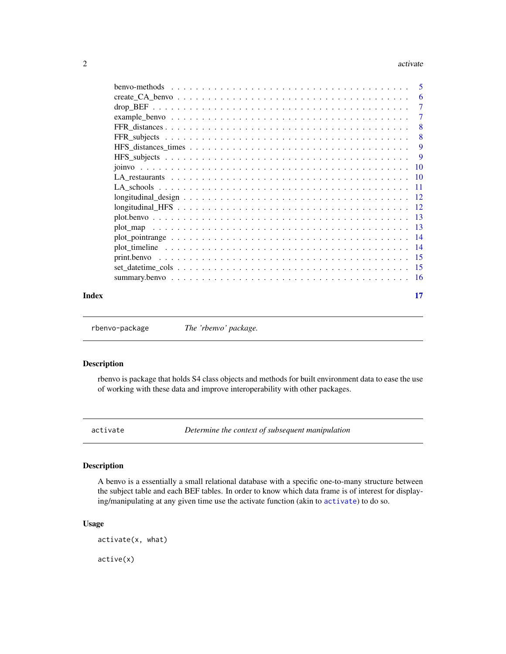#### <span id="page-1-0"></span>2 activate and  $\alpha$  activate and  $\alpha$  activate and  $\alpha$  activate

|       | $\overline{\phantom{0}}8$ |
|-------|---------------------------|
|       |                           |
|       | -9                        |
|       |                           |
|       |                           |
|       |                           |
|       |                           |
|       |                           |
|       |                           |
|       |                           |
|       |                           |
|       |                           |
|       |                           |
|       |                           |
|       |                           |
|       |                           |
| Index | 17                        |

rbenvo-package *The 'rbenvo' package.*

# Description

rbenvo is package that holds S4 class objects and methods for built environment data to ease the use of working with these data and improve interoperability with other packages.

<span id="page-1-1"></span>activate *Determine the context of subsequent manipulation*

#### Description

A benvo is a essentially a small relational database with a specific one-to-many structure between the subject table and each BEF tables. In order to know which data frame is of interest for displaying/manipulating at any given time use the activate function (akin to [activate](#page-1-1)) to do so.

#### Usage

activate(x, what)

active(x)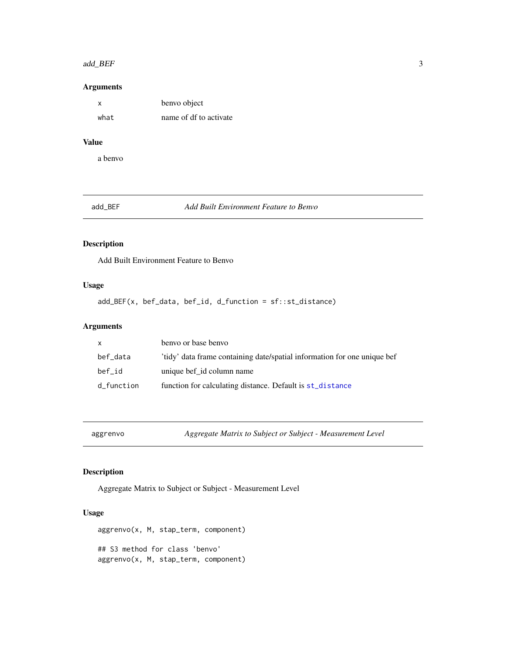#### <span id="page-2-0"></span>add\_BEF 3

#### Arguments

| x    | benvo object           |
|------|------------------------|
| what | name of df to activate |

#### Value

a benvo

add\_BEF *Add Built Environment Feature to Benvo*

#### Description

Add Built Environment Feature to Benvo

#### Usage

add\_BEF(x, bef\_data, bef\_id, d\_function = sf::st\_distance)

# Arguments

| X          | benyo or base benyo                                                      |
|------------|--------------------------------------------------------------------------|
| bef_data   | 'tidy' data frame containing date/spatial information for one unique bef |
| bef id     | unique bef_id column name                                                |
| d_function | function for calculating distance. Default is st_distance                |

aggrenvo *Aggregate Matrix to Subject or Subject - Measurement Level*

#### Description

Aggregate Matrix to Subject or Subject - Measurement Level

# Usage

aggrenvo(x, M, stap\_term, component) ## S3 method for class 'benvo' aggrenvo(x, M, stap\_term, component)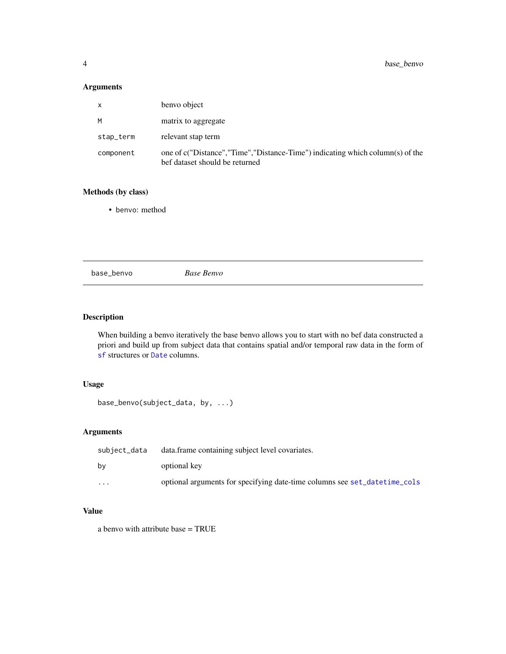# Arguments

| X         | benvo object                                                                                                      |
|-----------|-------------------------------------------------------------------------------------------------------------------|
| M         | matrix to aggregate                                                                                               |
| stap_term | relevant stap term                                                                                                |
| component | one of c("Distance", "Time", "Distance-Time") indicating which column(s) of the<br>bef dataset should be returned |

# Methods (by class)

• benvo: method

base\_benvo *Base Benvo*

#### Description

When building a benvo iteratively the base benvo allows you to start with no bef data constructed a priori and build up from subject data that contains spatial and/or temporal raw data in the form of [sf](#page-0-0) structures or [Date](#page-0-0) columns.

#### Usage

```
base_benvo(subject_data, by, ...)
```
# Arguments

| subject_data            | data.frame containing subject level covariates.                           |
|-------------------------|---------------------------------------------------------------------------|
| bv                      | optional key                                                              |
| $\cdot$ $\cdot$ $\cdot$ | optional arguments for specifying date-time columns see set_datetime_cols |

# Value

a benvo with attribute base = TRUE

<span id="page-3-0"></span>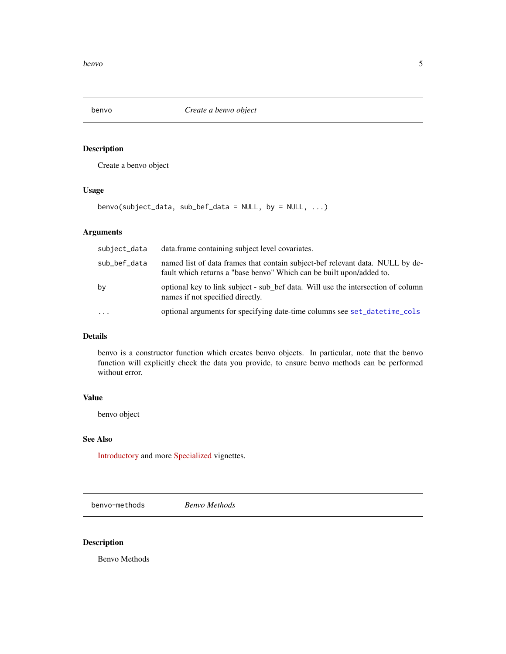<span id="page-4-0"></span>

Create a benvo object

#### Usage

benvo(subject\_data, sub\_bef\_data = NULL, by = NULL, ...)

### Arguments

| subject_data | data.frame containing subject level covariates.                                                                                                       |
|--------------|-------------------------------------------------------------------------------------------------------------------------------------------------------|
| sub_bef_data | named list of data frames that contain subject-bef relevant data. NULL by de-<br>fault which returns a "base benyo" Which can be built upon/added to. |
| by           | optional key to link subject - sub_bef data. Will use the intersection of column<br>names if not specified directly.                                  |
| $\cdots$     | optional arguments for specifying date-time columns see set_datetime_cols                                                                             |

# Details

benvo is a constructor function which creates benvo objects. In particular, note that the benvo function will explicitly check the data you provide, to ensure benvo methods can be performed without error.

#### Value

benvo object

#### See Also

[Introductory](https://apeterson91.github.io/rbenvo/articles/Introduction.html) and more [Specialized](https://apeterson91.github.io/rbenvo/articles/Building_Benvos.html) vignettes.

benvo-methods *Benvo Methods*

#### Description

Benvo Methods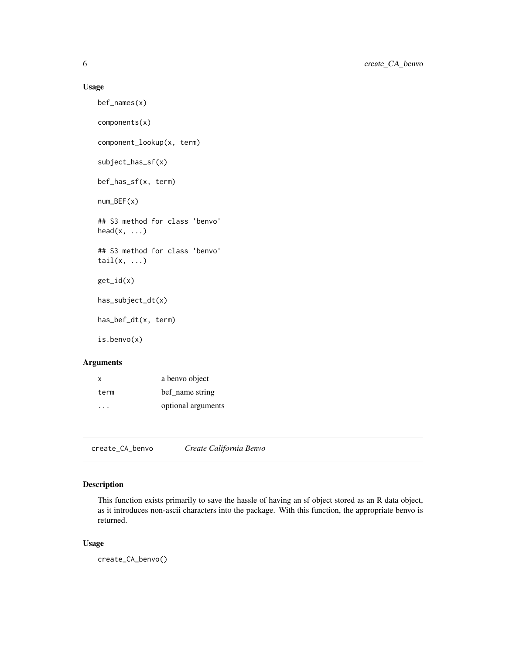#### <span id="page-5-0"></span>Usage

bef\_names(x) components(x) component\_lookup(x, term) subject\_has\_sf(x) bef\_has\_sf(x, term) num\_BEF(x) ## S3 method for class 'benvo'  $head(x, \ldots)$ ## S3 method for class 'benvo'  $tail(x, \ldots)$ get\_id(x) has\_subject\_dt(x) has\_bef\_dt(x, term) is.benvo(x)

# Arguments

| X    | a benvo object     |
|------|--------------------|
| term | bef name string    |
| .    | optional arguments |

create\_CA\_benvo *Create California Benvo*

# Description

This function exists primarily to save the hassle of having an sf object stored as an R data object, as it introduces non-ascii characters into the package. With this function, the appropriate benvo is returned.

#### Usage

create\_CA\_benvo()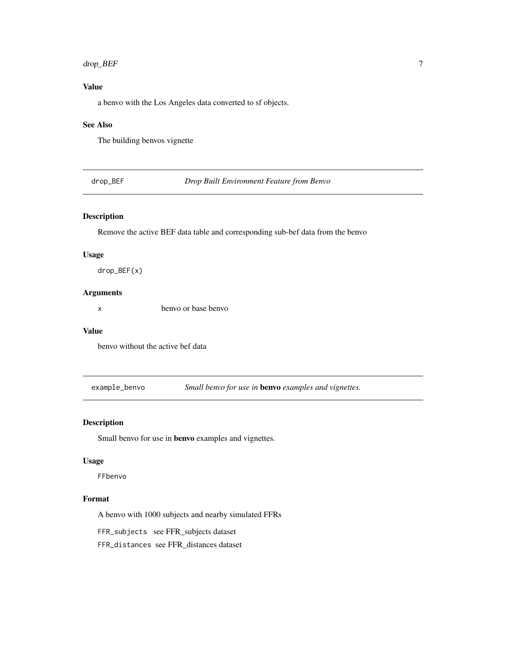#### <span id="page-6-0"></span>drop\_BEF 7

# Value

a benvo with the Los Angeles data converted to sf objects.

#### See Also

The building benvos vignette

drop\_BEF *Drop Built Environment Feature from Benvo*

#### Description

Remove the active BEF data table and corresponding sub-bef data from the benvo

# Usage

drop\_BEF(x)

# Arguments

x benvo or base benvo

#### Value

benvo without the active bef data

example\_benvo *Small benvo for use in* benvo *examples and vignettes.*

#### Description

Small benvo for use in benvo examples and vignettes.

#### Usage

FFbenvo

### Format

A benvo with 1000 subjects and nearby simulated FFRs

FFR\_subjects see FFR\_subjects dataset

FFR\_distances see FFR\_distances dataset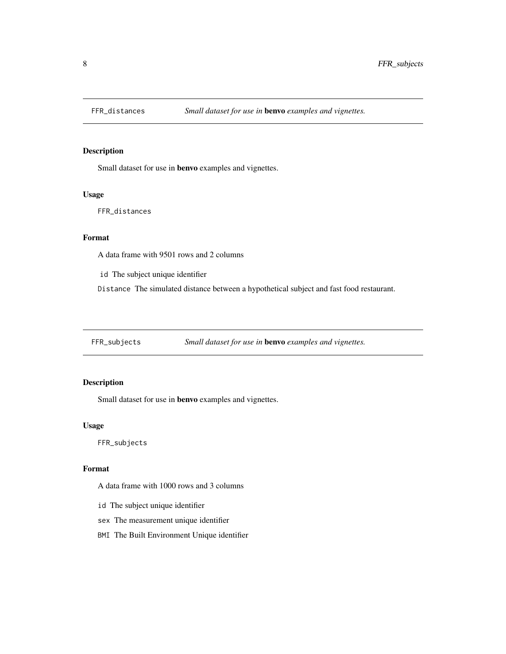<span id="page-7-0"></span>

Small dataset for use in benvo examples and vignettes.

#### Usage

FFR\_distances

#### Format

A data frame with 9501 rows and 2 columns

id The subject unique identifier

Distance The simulated distance between a hypothetical subject and fast food restaurant.

FFR\_subjects *Small dataset for use in* benvo *examples and vignettes.*

#### Description

Small dataset for use in benvo examples and vignettes.

#### Usage

FFR\_subjects

#### Format

A data frame with 1000 rows and 3 columns

- id The subject unique identifier
- sex The measurement unique identifier
- BMI The Built Environment Unique identifier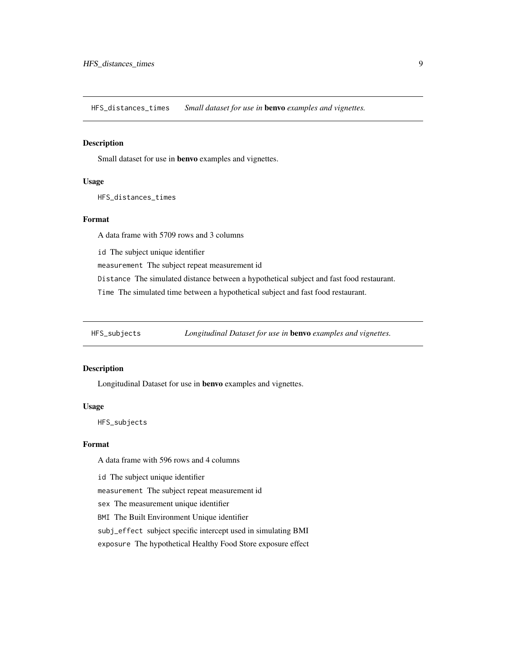<span id="page-8-0"></span>HFS\_distances\_times *Small dataset for use in* benvo *examples and vignettes.*

#### Description

Small dataset for use in benvo examples and vignettes.

#### Usage

HFS\_distances\_times

#### Format

A data frame with 5709 rows and 3 columns

id The subject unique identifier

measurement The subject repeat measurement id

Distance The simulated distance between a hypothetical subject and fast food restaurant.

Time The simulated time between a hypothetical subject and fast food restaurant.

HFS\_subjects *Longitudinal Dataset for use in* benvo *examples and vignettes.*

#### Description

Longitudinal Dataset for use in benvo examples and vignettes.

#### Usage

HFS\_subjects

#### Format

A data frame with 596 rows and 4 columns

id The subject unique identifier

measurement The subject repeat measurement id

sex The measurement unique identifier

BMI The Built Environment Unique identifier

subj\_effect subject specific intercept used in simulating BMI

exposure The hypothetical Healthy Food Store exposure effect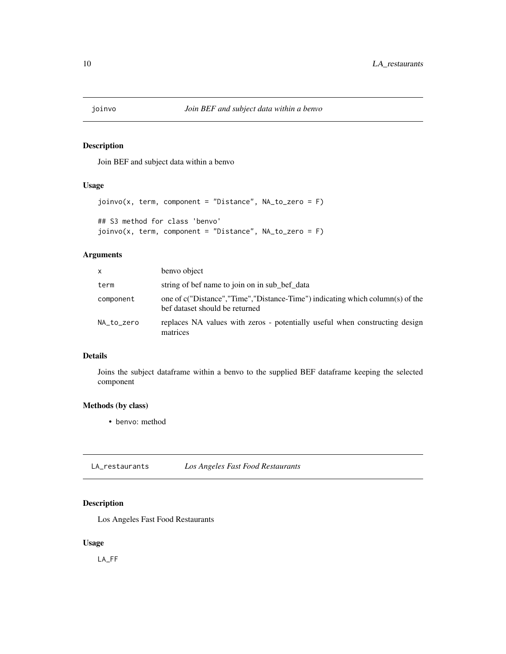<span id="page-9-0"></span>

Join BEF and subject data within a benvo

#### Usage

```
joinvo(x, term, component = "Distance", NA_to_zero = F)
## S3 method for class 'benvo'
joinvo(x, term, component = "Distance", NA_to_zero = F)
```
#### Arguments

| X          | benvo object                                                                                                    |
|------------|-----------------------------------------------------------------------------------------------------------------|
| term       | string of bef name to join on in sub bef data                                                                   |
| component  | one of c("Distance","Time","Distance-Time") indicating which column(s) of the<br>bef dataset should be returned |
| NA_to_zero | replaces NA values with zeros - potentially useful when constructing design<br>matrices                         |

#### Details

Joins the subject dataframe within a benvo to the supplied BEF dataframe keeping the selected component

#### Methods (by class)

• benvo: method

LA\_restaurants *Los Angeles Fast Food Restaurants*

#### Description

Los Angeles Fast Food Restaurants

#### Usage

LA\_FF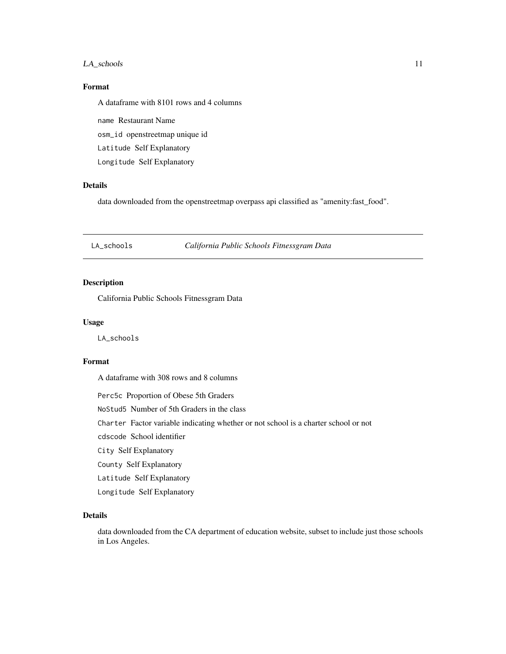#### <span id="page-10-0"></span>LA\_schools 11

### Format

A dataframe with 8101 rows and 4 columns

name Restaurant Name osm\_id openstreetmap unique id

Latitude Self Explanatory

Longitude Self Explanatory

#### Details

data downloaded from the openstreetmap overpass api classified as "amenity:fast\_food".

LA\_schools *California Public Schools Fitnessgram Data*

### Description

California Public Schools Fitnessgram Data

#### Usage

LA\_schools

#### Format

A dataframe with 308 rows and 8 columns

Perc5c Proportion of Obese 5th Graders

NoStud5 Number of 5th Graders in the class

Charter Factor variable indicating whether or not school is a charter school or not

cdscode School identifier

City Self Explanatory

County Self Explanatory

Latitude Self Explanatory

Longitude Self Explanatory

#### Details

data downloaded from the CA department of education website, subset to include just those schools in Los Angeles.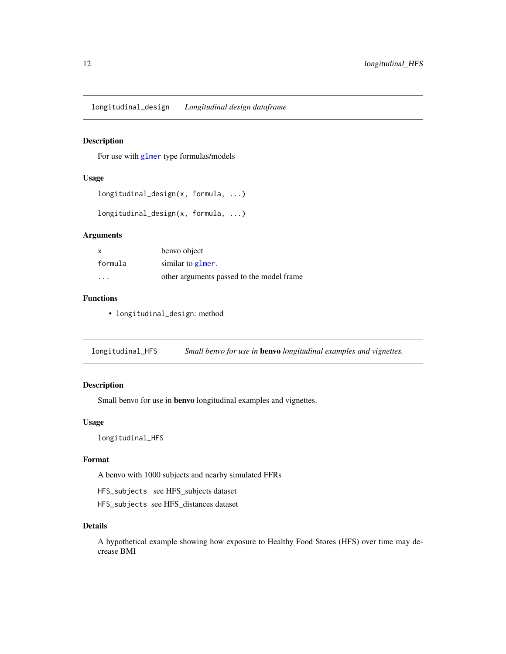<span id="page-11-0"></span>longitudinal\_design *Longitudinal design dataframe*

### Description

For use with [glmer](#page-0-0) type formulas/models

#### Usage

```
longitudinal_design(x, formula, ...)
```
longitudinal\_design(x, formula, ...)

#### Arguments

| $\boldsymbol{\mathsf{x}}$ | benvo object                              |
|---------------------------|-------------------------------------------|
| formula                   | similar to glmer.                         |
| $\cdot$ $\cdot$ $\cdot$   | other arguments passed to the model frame |

#### Functions

• longitudinal\_design: method

longitudinal\_HFS *Small benvo for use in* benvo *longitudinal examples and vignettes.*

### Description

Small benvo for use in benvo longitudinal examples and vignettes.

#### Usage

longitudinal\_HFS

# Format

A benvo with 1000 subjects and nearby simulated FFRs

HFS\_subjects see HFS\_subjects dataset

HFS\_subjects see HFS\_distances dataset

#### Details

A hypothetical example showing how exposure to Healthy Food Stores (HFS) over time may decrease BMI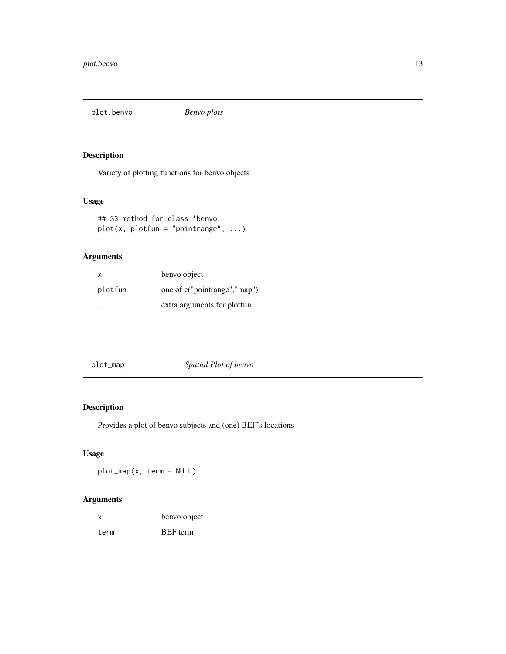<span id="page-12-0"></span>plot.benvo *Benvo plots*

# Description

Variety of plotting functions for benvo objects

#### Usage

```
## S3 method for class 'benvo'
plot(x, plotfun = "pointrange", ...)
```
# Arguments

| x       | benvo object                 |
|---------|------------------------------|
| plotfun | one of c("pointrange","map") |
| .       | extra arguments for plotfun  |

| plot_map | Spatial Plot of benvo |
|----------|-----------------------|
|          |                       |

# Description

Provides a plot of benvo subjects and (one) BEF's locations

#### Usage

plot\_map(x, term = NULL)

#### Arguments

| x    | benvo object    |
|------|-----------------|
| term | <b>BEF</b> term |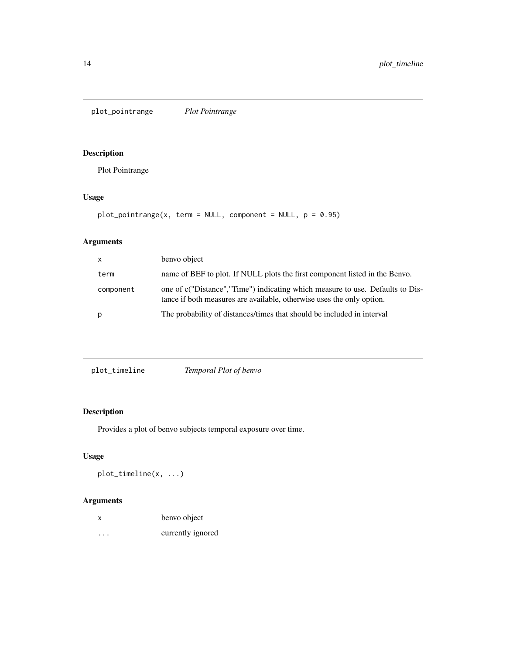<span id="page-13-0"></span>plot\_pointrange *Plot Pointrange*

# Description

Plot Pointrange

# Usage

```
plot\_pointrange(x, term = NULL, component = NULL, p = 0.95)
```
# Arguments

| $\mathsf{x}$ | benvo object                                                                                                                                           |
|--------------|--------------------------------------------------------------------------------------------------------------------------------------------------------|
| term         | name of BEF to plot. If NULL plots the first component listed in the Benvo.                                                                            |
| component    | one of c("Distance","Time") indicating which measure to use. Defaults to Dis-<br>tance if both measures are available, otherwise uses the only option. |
| p            | The probability of distances/times that should be included in interval                                                                                 |

| plot_timeline | Temporal Plot of benvo |
|---------------|------------------------|
|---------------|------------------------|

# Description

Provides a plot of benvo subjects temporal exposure over time.

# Usage

plot\_timeline(x, ...)

### Arguments

| X        | benvo object      |
|----------|-------------------|
| $\cdots$ | currently ignored |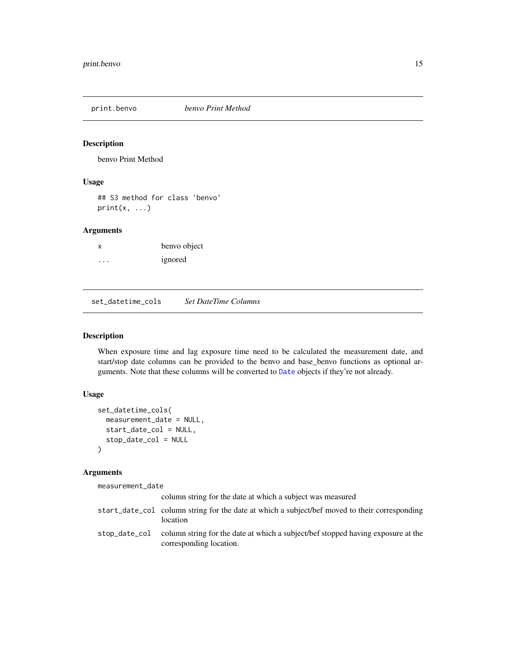<span id="page-14-0"></span>

benvo Print Method

# Usage

## S3 method for class 'benvo'  $print(x, \ldots)$ 

#### Arguments

| х | benvo object |
|---|--------------|
| . | ignored      |

<span id="page-14-1"></span>set\_datetime\_cols *Set DateTime Columns*

#### Description

When exposure time and lag exposure time need to be calculated the measurement date, and start/stop date columns can be provided to the benvo and base\_benvo functions as optional arguments. Note that these columns will be converted to [Date](#page-0-0) objects if they're not already.

#### Usage

```
set_datetime_cols(
 measurement_date = NULL,
  start_date_col = NULL,
  stop_date_col = NULL
)
```
#### Arguments

measurement\_date

| column string for the date at which a subject was measured                                                                |
|---------------------------------------------------------------------------------------------------------------------------|
| start_date_col column string for the date at which a subject/bef moved to their corresponding<br>location                 |
| stop_date_col column string for the date at which a subject/bef stopped having exposure at the<br>corresponding location. |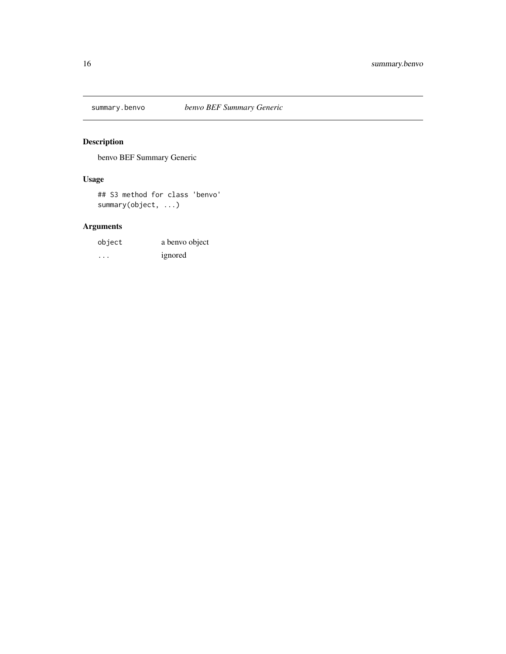<span id="page-15-0"></span>

benvo BEF Summary Generic

# Usage

## S3 method for class 'benvo' summary(object, ...)

# Arguments

| object | a benvo object |
|--------|----------------|
| .      | ignored        |